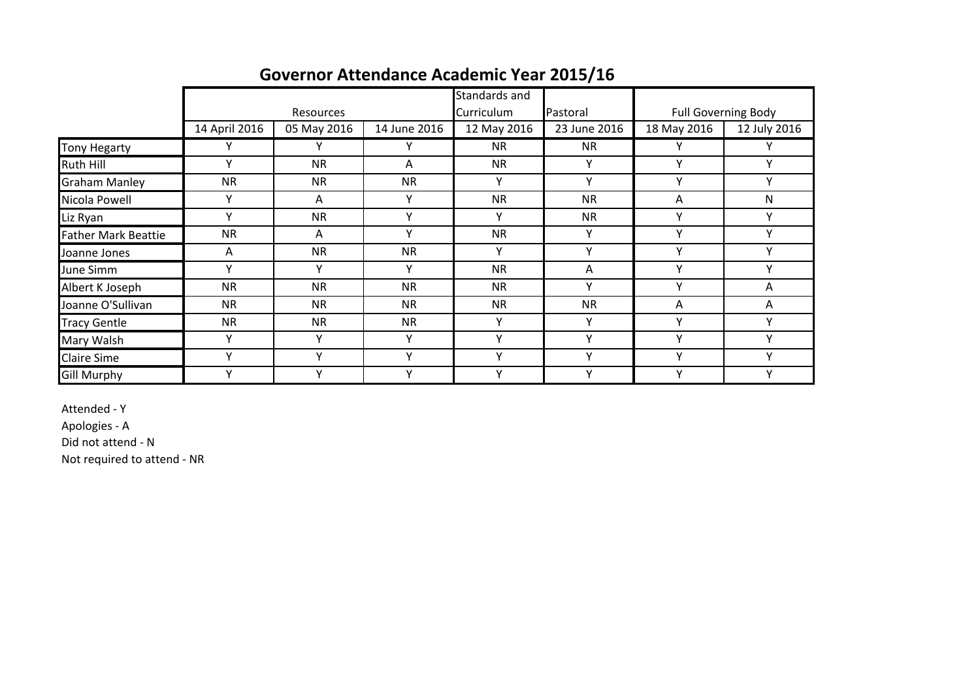|                            |               |                  |              | Standards and |              |              |                            |
|----------------------------|---------------|------------------|--------------|---------------|--------------|--------------|----------------------------|
|                            |               | <b>Resources</b> |              | Curriculum    | Pastoral     |              | <b>Full Governing Body</b> |
|                            | 14 April 2016 | 05 May 2016      | 14 June 2016 | 12 May 2016   | 23 June 2016 | 18 May 2016  | 12 July 2016               |
| <b>Tony Hegarty</b>        |               |                  |              | <b>NR</b>     | <b>NR</b>    |              |                            |
| Ruth Hill                  |               | <b>NR</b>        | $\mathsf{A}$ | <b>NR</b>     | Υ            | $\checkmark$ | ν                          |
| <b>Graham Manley</b>       | <b>NR</b>     | <b>NR</b>        | <b>NR</b>    | Y             | Y            | Y            | Y                          |
| Nicola Powell              | Υ             | A                | Υ            | <b>NR</b>     | <b>NR</b>    | A            | N                          |
| Liz Ryan                   | $\checkmark$  | <b>NR</b>        | $\checkmark$ | Υ             | <b>NR</b>    | v            | Υ                          |
| <b>Father Mark Beattie</b> | <b>NR</b>     | Α                | $\mathbf v$  | <b>NR</b>     | Y            | $\vee$       | $\checkmark$               |
| Joanne Jones               | A             | <b>NR</b>        | <b>NR</b>    | Υ             | ٧            | $\checkmark$ | M                          |
| June Simm                  | Y             | Υ                | Y            | <b>NR</b>     | Α            | v            | ٧                          |
| Albert K Joseph            | <b>NR</b>     | <b>NR</b>        | <b>NR</b>    | <b>NR</b>     | Υ            | $\vee$       | A                          |
| Joanne O'Sullivan          | <b>NR</b>     | <b>NR</b>        | <b>NR</b>    | <b>NR</b>     | <b>NR</b>    | A            | A                          |
| <b>Tracy Gentle</b>        | <b>NR</b>     | <b>NR</b>        | <b>NR</b>    | Υ             | Υ            | v            | v                          |
| Mary Walsh                 | $\checkmark$  | v                | ۷            | v             | v            | $\checkmark$ | ν                          |
| <b>Claire Sime</b>         | $\mathbf v$   |                  | $\checkmark$ | Υ             | Y            | $\vee$       | ۷                          |
| <b>Gill Murphy</b>         | $\checkmark$  | ٧                | $\checkmark$ | Υ             | Y            | v            | v                          |

# **Governor Attendance Academic Year 2015/16**

Attended - Y

Apologies - A

Did not attend - N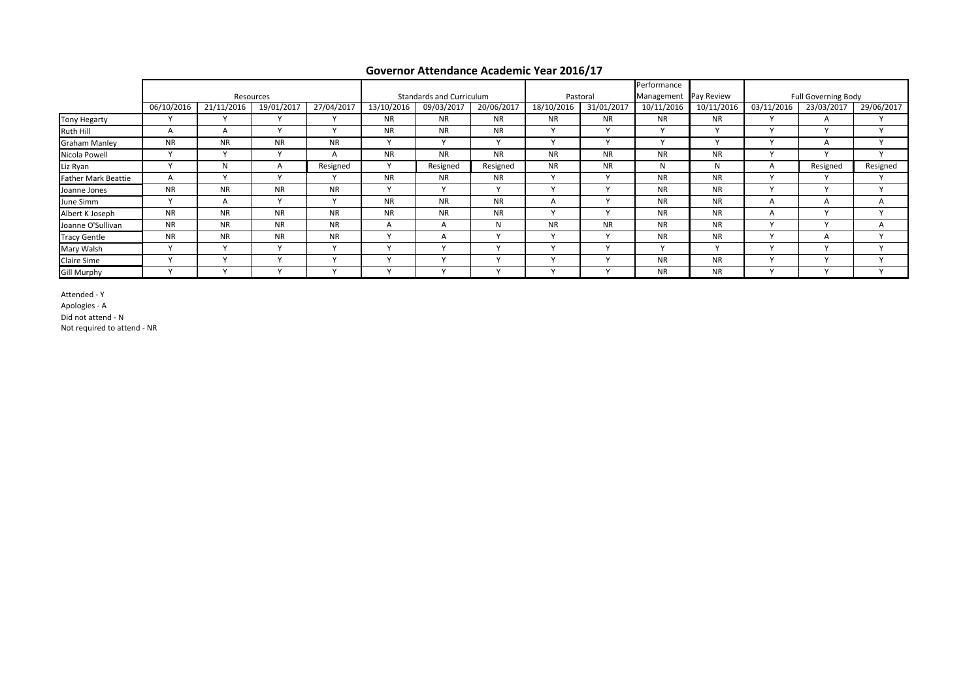|                            |              |              |              |                      |                      |                          |              |              |              | Performance |              |              |                     |              |
|----------------------------|--------------|--------------|--------------|----------------------|----------------------|--------------------------|--------------|--------------|--------------|-------------|--------------|--------------|---------------------|--------------|
|                            |              |              | Resources    |                      |                      | Standards and Curriculum |              | Pastoral     |              | Management  | Pay Review   |              | Full Governing Body |              |
|                            | 06/10/2016   | 21/11/2016   | 19/01/2017   | 27/04/2017           | 13/10/2016           | 09/03/2017               | 20/06/2017   | 18/10/2016   | 31/01/2017   | 10/11/2016  | 10/11/2016   | 03/11/2016   | 23/03/2017          | 29/06/2017   |
| <b>Tony Hegarty</b>        |              |              |              |                      | <b>NR</b>            | <b>NR</b>                | <b>NR</b>    | <b>NR</b>    | <b>NR</b>    | <b>NR</b>   | <b>NR</b>    |              | $\mathsf{A}$        |              |
| Ruth Hill                  | $\mathsf{A}$ | А            | $\mathbf{v}$ | $\ddot{\phantom{0}}$ | <b>NR</b>            | <b>NR</b>                | <b>NR</b>    | $\mathbf{v}$ | $\mathbf{v}$ |             |              |              | $\lambda$           |              |
| <b>Graham Manley</b>       | <b>NR</b>    | <b>NR</b>    | <b>NR</b>    | <b>NR</b>            | $\ddot{\phantom{a}}$ |                          |              | $\lambda$    |              |             |              |              | A                   |              |
| Nicola Powell              | $\lambda$    | $\mathbf{v}$ | $\mathbf{v}$ | А                    | <b>NR</b>            | <b>NR</b>                | <b>NR</b>    | <b>NR</b>    | <b>NR</b>    | <b>NR</b>   | <b>NR</b>    |              | $\mathbf{v}$        |              |
| Liz Ryan                   | $\cdot$      | N            | $\mathsf{A}$ | Resigned             | $\lambda$            | Resigned                 | Resigned     | <b>NR</b>    | <b>NR</b>    | N           | N            | $\mathsf{A}$ | Resigned            | Resigned     |
| <b>Father Mark Beattie</b> | $\mathsf{A}$ |              | $\checkmark$ |                      | <b>NR</b>            | <b>NR</b>                | <b>NR</b>    |              |              | <b>NR</b>   | <b>NR</b>    |              |                     |              |
| Joanne Jones               | <b>NR</b>    | <b>NR</b>    | <b>NR</b>    | <b>NR</b>            | $\lambda$            |                          | $\lambda$    | $\lambda$    | $\lambda$    | <b>NR</b>   | <b>NR</b>    |              | $\lambda$           |              |
| June Simm                  |              | A            | $\checkmark$ | $\checkmark$         | <b>NR</b>            | <b>NR</b>                | <b>NR</b>    | A            |              | <b>NR</b>   | <b>NR</b>    | $\mathsf{A}$ | $\mathsf{A}$        | $\mathsf{A}$ |
| Albert K Joseph            | <b>NR</b>    | <b>NR</b>    | <b>NR</b>    | <b>NR</b>            | <b>NR</b>            | <b>NR</b>                | <b>NR</b>    | $\mathbf{v}$ | $\lambda$    | <b>NR</b>   | <b>NR</b>    | A            | $\mathbf{v}$        | $\mathbf{v}$ |
| Joanne O'Sullivan          | <b>NR</b>    | <b>NR</b>    | <b>NR</b>    | <b>NR</b>            | A                    |                          | N            | <b>NR</b>    | <b>NR</b>    | <b>NR</b>   | <b>NR</b>    |              |                     | $\mathsf{A}$ |
| <b>Tracy Gentle</b>        | <b>NR</b>    | <b>NR</b>    | <b>NR</b>    | <b>NR</b>            | $\lambda$            | A                        | $\mathbf{v}$ | $\mathbf{v}$ | $\mathbf{v}$ | <b>NR</b>   | <b>NR</b>    |              | A                   | $\mathbf{v}$ |
| Mary Walsh                 | $\cdot$      | $\lambda$    | $\mathbf{v}$ | $\lambda$            |                      |                          | $\cdot$      |              | $\lambda$    | $\cdot$     | $\mathbf{v}$ |              |                     |              |
| <b>Claire Sime</b>         |              |              | $\checkmark$ |                      |                      |                          |              |              |              | <b>NR</b>   | <b>NR</b>    |              |                     |              |
| <b>Gill Murphy</b>         |              |              | $\checkmark$ | $\mathbf{v}$         |                      |                          | $\mathbf{v}$ | $\lambda$    |              | <b>NR</b>   | <b>NR</b>    |              | $\overline{ }$      | $\mathbf{v}$ |

Attended - Y Apologies - A

Did not attend - N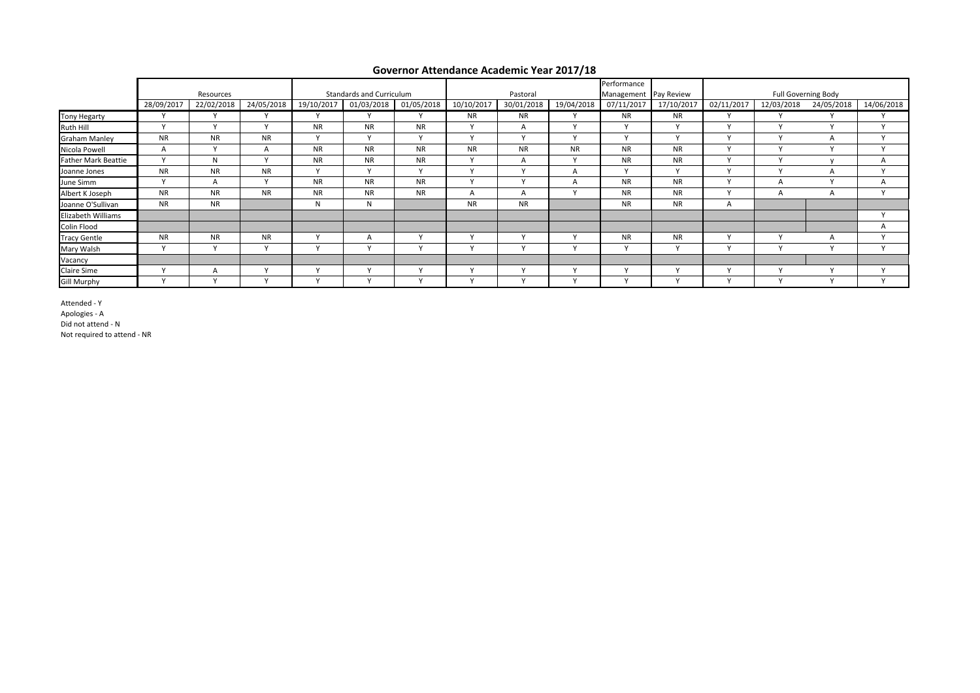#### **Governor Attendance Academic Year 2017/18**

|                            |              |            |                |            |                          |            | Performance          |              |              |                       |              |              |              |                     |              |
|----------------------------|--------------|------------|----------------|------------|--------------------------|------------|----------------------|--------------|--------------|-----------------------|--------------|--------------|--------------|---------------------|--------------|
|                            |              | Resources  |                |            | Standards and Curriculum |            |                      | Pastoral     |              | Management Pay Review |              |              |              | Full Governing Body |              |
|                            | 28/09/2017   | 22/02/2018 | 24/05/2018     | 19/10/2017 | 01/03/2018               | 01/05/2018 | 10/10/2017           | 30/01/2018   | 19/04/2018   | 07/11/2017            | 17/10/2017   | 02/11/2017   | 12/03/2018   | 24/05/2018          | 14/06/2018   |
| Tony Hegarty               |              |            |                |            |                          |            | <b>NR</b>            | <b>NR</b>    | $\mathbf{v}$ | <b>NR</b>             | <b>NR</b>    |              |              |                     |              |
| Ruth Hill                  | $\mathbf{v}$ | $\lambda$  | $\lambda$      | <b>NR</b>  | <b>NR</b>                | <b>NR</b>  | $\mathbf{v}$         | А            | $\mathsf{v}$ | $\mathbf{v}$          | $\checkmark$ | $\mathbf{v}$ | $\mathbf{v}$ | $\lambda$           | $\mathbf{v}$ |
| <b>Graham Manley</b>       | <b>NR</b>    | <b>NR</b>  | <b>NR</b>      | $\lambda$  | $\mathbf{v}$             |            | $\lambda$            | $\lambda$    | $\mathbf v$  | $\lambda$             | $\mathbf v$  | $\lambda$    | $\mathbf v$  |                     | $\lambda$    |
| Nicola Powell              | A            | $\lambda$  | $\overline{A}$ | <b>NR</b>  | <b>NR</b>                | <b>NR</b>  | <b>NR</b>            | <b>NR</b>    | <b>NR</b>    | <b>NR</b>             | <b>NR</b>    | $\mathbf{v}$ | $\lambda$    | $\lambda$           | $\lambda$    |
| <b>Father Mark Beattie</b> | $\mathbf{v}$ | N          | $\lambda$      | <b>NR</b>  | <b>NR</b>                | <b>NR</b>  | $\sqrt{ }$           | А            | $\vee$       | <b>NR</b>             | <b>NR</b>    | $\mathbf{v}$ | $\mathbf{v}$ |                     |              |
| Joanne Jones               | <b>NR</b>    | <b>NR</b>  | <b>NR</b>      | $\lambda$  | $\mathbf v$              | $\lambda$  | $\lambda$            | $\mathbf{v}$ | $\mathsf{A}$ | $\mathbf{v}$          | $\mathsf{v}$ | $\mathbf{v}$ | $\mathbf{v}$ |                     | $\lambda$    |
| June Simm                  | $\mathbf{v}$ | A          | $\lambda$      | <b>NR</b>  | <b>NR</b>                | <b>NR</b>  | $\lambda$            | $\mathbf{v}$ | А            | <b>NR</b>             | <b>NR</b>    | $\mathbf v$  |              | $\lambda$           | A            |
| Albert K Joseph            | <b>NR</b>    | <b>NR</b>  | <b>NR</b>      | <b>NR</b>  | <b>NR</b>                | <b>NR</b>  | А                    | А            | $\checkmark$ | <b>NR</b>             | <b>NR</b>    | $\mathbf{v}$ | A            |                     |              |
| Joanne O'Sullivan          | <b>NR</b>    | <b>NR</b>  |                | N          | N                        |            | <b>NR</b>            | <b>NR</b>    |              | <b>NR</b>             | <b>NR</b>    | A            |              |                     |              |
| Elizabeth Williams         |              |            |                |            |                          |            |                      |              |              |                       |              |              |              |                     |              |
| Colin Flood                |              |            |                |            |                          |            |                      |              |              |                       |              |              |              |                     |              |
| <b>Tracy Gentle</b>        | <b>NR</b>    | <b>NR</b>  | <b>NR</b>      |            | $\mathsf{A}$             |            |                      |              |              | <b>NR</b>             | <b>NR</b>    | $\lambda$    |              |                     |              |
| Mary Walsh                 | $\mathbf{v}$ | $\cdot$    | $\lambda$      |            |                          |            | $\ddot{\phantom{1}}$ |              | $\mathbf{v}$ | $\vee$                | $\checkmark$ | $\lambda$    |              | $\lambda$           |              |
| Vacancy                    |              |            |                |            |                          |            |                      |              |              |                       |              |              |              |                     |              |
| Claire Sime                | $\lambda$    |            | $\lambda$      | $\cdot$    | $\ddot{\phantom{1}}$     |            | $\ddot{\phantom{1}}$ | $\lambda$    | $\mathbf{v}$ | $\lambda$             | $\mathbf{v}$ | $\lambda$    | $\mathbf{v}$ | $\lambda$           | $\lambda$    |
| <b>Gill Murphy</b>         | $\mathbf{v}$ | $\cdot$    | $\lambda$      | $\cdot$    |                          |            | $\lambda$            | $\lambda$    | $\mathbf{v}$ | $\mathbf{v}$          | $\mathbf{v}$ | $\lambda$    | $\lambda$    | $\lambda$           | $\mathbf{v}$ |

Attended - Y Apologies - A Did not attend - N Not required to attend - NR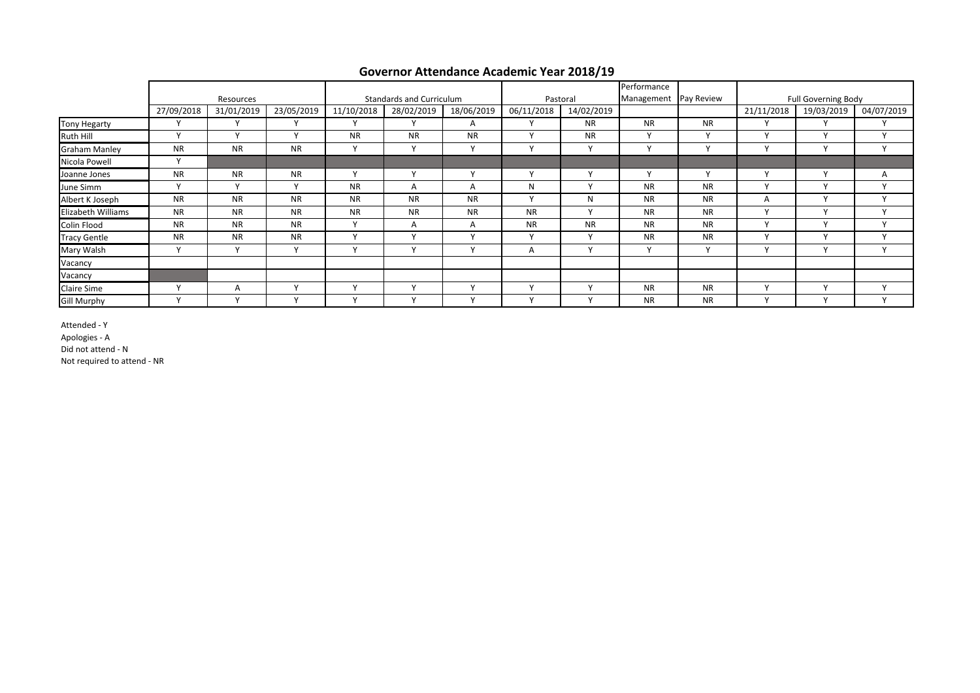|                      |              |              |              |                                 |                |              |              |              | Performance  |                       |              |                            |              |
|----------------------|--------------|--------------|--------------|---------------------------------|----------------|--------------|--------------|--------------|--------------|-----------------------|--------------|----------------------------|--------------|
|                      |              | Resources    |              | <b>Standards and Curriculum</b> |                |              |              | Pastoral     |              | Management Pay Review |              | <b>Full Governing Body</b> |              |
|                      | 27/09/2018   | 31/01/2019   | 23/05/2019   | 11/10/2018                      | 28/02/2019     | 18/06/2019   | 06/11/2018   | 14/02/2019   |              |                       | 21/11/2018   | 19/03/2019                 | 04/07/2019   |
| <b>Tony Hegarty</b>  | v            | $\mathbf{v}$ |              |                                 | $\mathbf{v}$   | A            | $\mathbf v$  | <b>NR</b>    | <b>NR</b>    | <b>NR</b>             |              | $\mathbf{v}$               | $\mathbf v$  |
| Ruth Hill            | Y            | $\mathbf{v}$ | $\mathbf{v}$ | <b>NR</b>                       | <b>NR</b>      | <b>NR</b>    | $\mathbf v$  | <b>NR</b>    | $\mathsf{v}$ | $\mathbf v$           | $\lambda$    | $\mathbf{v}$               | $\mathsf{v}$ |
| <b>Graham Manley</b> | <b>NR</b>    | <b>NR</b>    | <b>NR</b>    | $\mathbf{v}$                    | $\mathbf{v}$   | v            | $\mathbf{v}$ | Υ            | $\mathsf{v}$ | $\mathbf{v}$          | $\mathbf{v}$ | $\mathbf{v}$               | $\mathbf{v}$ |
| Nicola Powell        | $\mathsf{v}$ |              |              |                                 |                |              |              |              |              |                       |              |                            |              |
| Joanne Jones         | <b>NR</b>    | <b>NR</b>    | <b>NR</b>    | $\lambda$                       | $\overline{ }$ | $\mathbf v$  | $\checkmark$ | v            | $\mathsf{v}$ | $\mathbf{v}$          | $\lambda$    | $\mathbf{v}$               | A            |
| June Simm            | Y            | $\mathbf v$  | $\mathbf{v}$ | <b>NR</b>                       | A              | A            | N            | $\mathsf{v}$ | <b>NR</b>    | <b>NR</b>             |              | $\mathbf{v}$               | $\checkmark$ |
| Albert K Joseph      | <b>NR</b>    | <b>NR</b>    | <b>NR</b>    | <b>NR</b>                       | <b>NR</b>      | <b>NR</b>    | $\checkmark$ | N            | <b>NR</b>    | <b>NR</b>             | А            | $\mathbf{v}$               | $\mathbf{v}$ |
| Elizabeth Williams   | <b>NR</b>    | <b>NR</b>    | <b>NR</b>    | <b>NR</b>                       | <b>NR</b>      | <b>NR</b>    | <b>NR</b>    | $\mathsf{v}$ | <b>NR</b>    | <b>NR</b>             | $\mathbf{v}$ | $\mathbf{v}$               | $\mathbf{v}$ |
| Colin Flood          | <b>NR</b>    | <b>NR</b>    | <b>NR</b>    | $\lambda$                       | A              | A            | <b>NR</b>    | <b>NR</b>    | <b>NR</b>    | <b>NR</b>             | $\mathbf{v}$ | $\mathbf{v}$               | $\mathbf{v}$ |
| <b>Tracy Gentle</b>  | <b>NR</b>    | <b>NR</b>    | <b>NR</b>    |                                 |                | $\mathbf{v}$ | $\mathbf{v}$ | v            | <b>NR</b>    | <b>NR</b>             | $\lambda$    | $\lambda$                  | $\mathbf{v}$ |
| Mary Walsh           | Y            | $\mathbf{v}$ | $\mathbf{v}$ |                                 | $\lambda$      | $\mathbf{v}$ | A            | Υ            | Y            | $\mathbf v$           | $\lambda$    | $\lambda$                  | $\mathbf{v}$ |
| Vacancy              |              |              |              |                                 |                |              |              |              |              |                       |              |                            |              |
| Vacancy              |              |              |              |                                 |                |              |              |              |              |                       |              |                            |              |
| <b>Claire Sime</b>   | $\checkmark$ | A            |              |                                 |                |              |              |              | <b>NR</b>    | <b>NR</b>             |              |                            | $\mathbf{v}$ |
| <b>Gill Murphy</b>   | $\checkmark$ |              |              |                                 |                |              | $\mathbf v$  | $\checkmark$ | <b>NR</b>    | <b>NR</b>             |              | $\mathbf{v}$               | $\mathbf v$  |

### **Governor Attendance Academic Year 2018/19**

Attended - Y

Apologies - A

Did not attend - N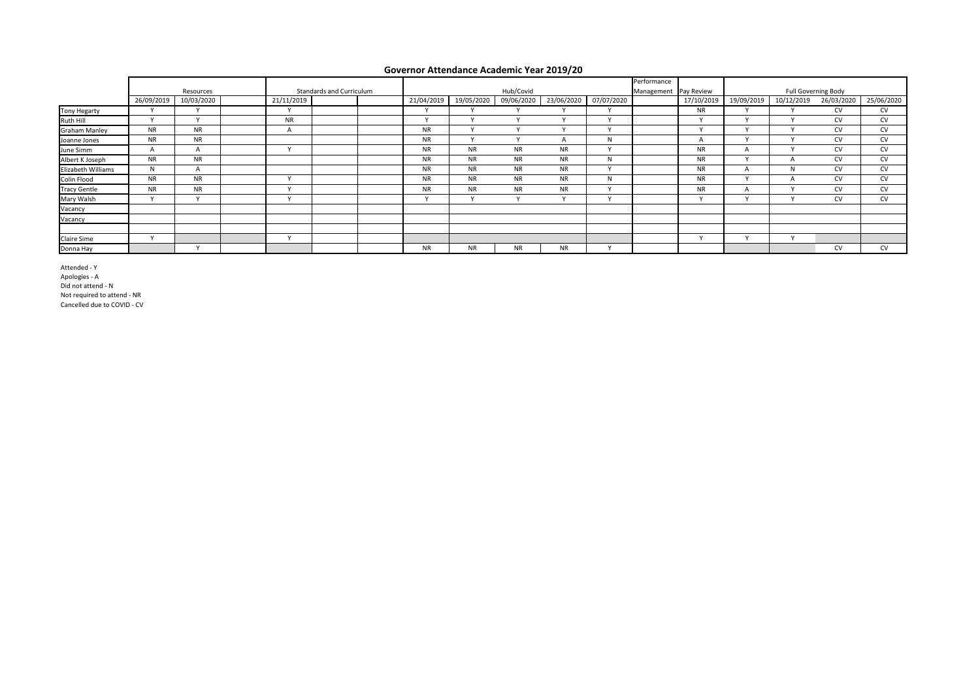#### **Governor Attendance Academic Year 2019/20**

|                      | Resources            |                      |  | Performance<br>Hub/Covid<br>Standards and Curriculum<br>Management Pay Review |  |  |            |            |            |                      | <b>Full Governing Body</b> |  |                      |            |            |            |            |
|----------------------|----------------------|----------------------|--|-------------------------------------------------------------------------------|--|--|------------|------------|------------|----------------------|----------------------------|--|----------------------|------------|------------|------------|------------|
|                      | 26/09/2019           | 10/03/2020           |  | 21/11/2019                                                                    |  |  | 21/04/2019 | 19/05/2020 | 09/06/2020 | 23/06/2020           | 07/07/2020                 |  | 17/10/2019           | 19/09/2019 | 10/12/2019 | 26/03/2020 | 25/06/2020 |
| <b>Tony Hegarty</b>  |                      |                      |  |                                                                               |  |  |            |            |            |                      |                            |  | <b>NR</b>            |            |            | <b>CV</b>  | CV         |
| Ruth Hill            | $\ddot{\phantom{0}}$ |                      |  | <b>NR</b>                                                                     |  |  |            |            |            |                      | $\ddot{\phantom{0}}$       |  | $\lambda$            |            |            | <b>CV</b>  | <b>CV</b>  |
| <b>Graham Manley</b> | <b>NR</b>            | <b>NR</b>            |  | A                                                                             |  |  | <b>NR</b>  |            |            |                      |                            |  | $\ddot{\phantom{1}}$ |            |            | <b>CV</b>  | <b>CV</b>  |
| Joanne Jones         | <b>NR</b>            | <b>NR</b>            |  |                                                                               |  |  | <b>NR</b>  |            |            |                      | N                          |  | A                    |            |            | <b>CV</b>  | <b>CV</b>  |
| June Simm            | $\mathsf{A}$         | A                    |  |                                                                               |  |  | <b>NR</b>  | <b>NR</b>  | <b>NR</b>  | <b>NR</b>            |                            |  | <b>NR</b>            | A          |            | <b>CV</b>  | <b>CV</b>  |
| Albert K Joseph      | <b>NR</b>            | <b>NR</b>            |  |                                                                               |  |  | <b>NR</b>  | <b>NR</b>  | <b>NR</b>  | <b>NR</b>            | N                          |  | <b>NR</b>            |            |            | <b>CV</b>  | <b>CV</b>  |
| Elizabeth Williams   | N                    | A                    |  |                                                                               |  |  | <b>NR</b>  | <b>NR</b>  | <b>NR</b>  | <b>NR</b>            | $\ddot{\phantom{0}}$       |  | <b>NR</b>            |            |            | <b>CV</b>  | <b>CV</b>  |
| Colin Flood          | <b>NR</b>            | <b>NR</b>            |  | $\ddot{\phantom{1}}$                                                          |  |  | <b>NR</b>  | <b>NR</b>  | <b>NR</b>  | <b>NR</b>            | N                          |  | <b>NR</b>            |            |            | <b>CV</b>  | <b>CV</b>  |
| <b>Tracy Gentle</b>  | <b>NR</b>            | <b>NR</b>            |  | $\lambda$                                                                     |  |  | <b>NR</b>  | <b>NR</b>  | <b>NR</b>  | <b>NR</b>            | $\ddot{\phantom{0}}$       |  | <b>NR</b>            | A          |            | <b>CV</b>  | <b>CV</b>  |
| Mary Walsh           | $\ddot{\phantom{0}}$ | $\ddot{\phantom{1}}$ |  | $\lambda$                                                                     |  |  |            |            |            | $\ddot{\phantom{0}}$ | $\ddot{\phantom{0}}$       |  |                      |            |            | <b>CV</b>  | <b>CV</b>  |
| Vacancy              |                      |                      |  |                                                                               |  |  |            |            |            |                      |                            |  |                      |            |            |            |            |
| Vacancy              |                      |                      |  |                                                                               |  |  |            |            |            |                      |                            |  |                      |            |            |            |            |
|                      |                      |                      |  |                                                                               |  |  |            |            |            |                      |                            |  |                      |            |            |            |            |
| <b>Claire Sime</b>   | $\ddot{\phantom{0}}$ |                      |  |                                                                               |  |  |            |            |            |                      |                            |  |                      |            |            |            |            |
| Donna Hay            |                      |                      |  |                                                                               |  |  | <b>NR</b>  | <b>NR</b>  | <b>NR</b>  | <b>NR</b>            |                            |  |                      |            |            | <b>CV</b>  | <b>CV</b>  |

Attended - Y Apologies - A Did not attend - N Not required to attend - NR Cancelled due to COVID - CV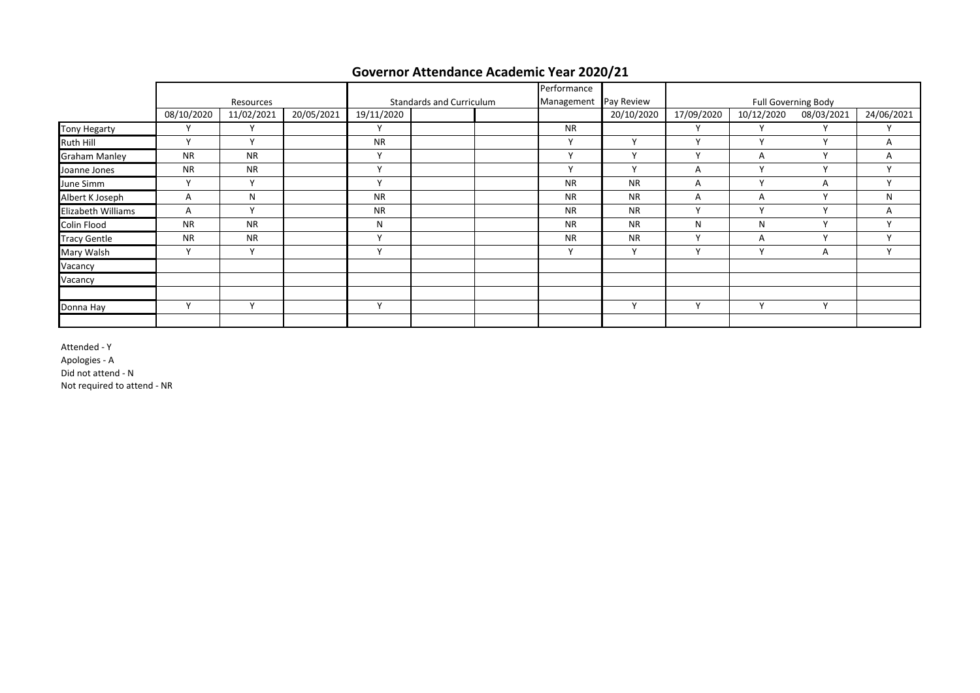|                    |              |              |            |              |                          | Performance  |              |              |                            |              |              |
|--------------------|--------------|--------------|------------|--------------|--------------------------|--------------|--------------|--------------|----------------------------|--------------|--------------|
|                    |              | Resources    |            |              | Standards and Curriculum | Management   | Pay Review   |              | <b>Full Governing Body</b> |              |              |
|                    | 08/10/2020   | 11/02/2021   | 20/05/2021 | 19/11/2020   |                          |              | 20/10/2020   | 17/09/2020   | 10/12/2020                 | 08/03/2021   | 24/06/2021   |
| Tony Hegarty       |              | Υ            |            | $\checkmark$ |                          | <b>NR</b>    |              |              |                            |              |              |
| Ruth Hill          | $\mathsf{v}$ | Y            |            | <b>NR</b>    |                          | Y            | v            | $\mathsf{v}$ | $\lambda$                  | $\mathbf v$  | A            |
| Graham Manley      | <b>NR</b>    | <b>NR</b>    |            | $\checkmark$ |                          | $\checkmark$ | ٧            | $\checkmark$ | A                          | $\checkmark$ | A            |
| Joanne Jones       | <b>NR</b>    | <b>NR</b>    |            | $\mathbf v$  |                          | $\checkmark$ | $\checkmark$ | A            |                            |              |              |
| June Simm          |              | $\mathsf{v}$ |            | $\mathbf{v}$ |                          | <b>NR</b>    | <b>NR</b>    | Α            | $\cdot$                    | А            |              |
| Albert K Joseph    | A            | N            |            | <b>NR</b>    |                          | <b>NR</b>    | <b>NR</b>    | Α            | A                          | $\mathbf{v}$ | N            |
| Elizabeth Williams | A            | $\mathsf{v}$ |            | <b>NR</b>    |                          | <b>NR</b>    | <b>NR</b>    | $\checkmark$ | $\lambda$                  | $\mathbf{v}$ | A            |
| Colin Flood        | <b>NR</b>    | <b>NR</b>    |            | N            |                          | <b>NR</b>    | <b>NR</b>    | N            | N                          |              | $\checkmark$ |
| Tracy Gentle       | <b>NR</b>    | <b>NR</b>    |            | $\mathsf{v}$ |                          | <b>NR</b>    | <b>NR</b>    | $\checkmark$ | A                          | $\mathbf{v}$ | $\mathsf{v}$ |
| Mary Walsh         | $\mathbf v$  | Υ            |            | $\mathbf{v}$ |                          | Y            | Υ            | $\mathbf{v}$ | $\lambda$                  | A            | $\checkmark$ |
| Vacancy            |              |              |            |              |                          |              |              |              |                            |              |              |
| Vacancy            |              |              |            |              |                          |              |              |              |                            |              |              |
|                    |              |              |            |              |                          |              |              |              |                            |              |              |
| Donna Hay          | $\checkmark$ | v            |            | $\checkmark$ |                          |              | Y            | $\mathbf{v}$ | $\lambda$                  |              |              |
|                    |              |              |            |              |                          |              |              |              |                            |              |              |

# **Governor Attendance Academic Year 2020/21**

Attended - Y

Apologies - A

Did not attend - N